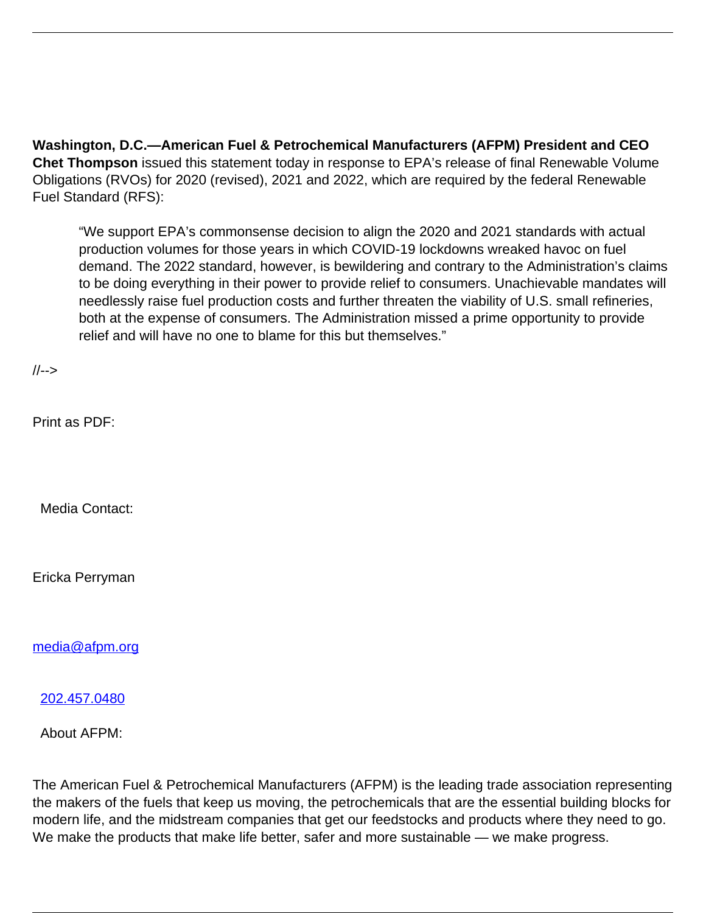**Washington, D.C.—American Fuel & Petrochemical Manufacturers (AFPM) President and CEO Chet Thompson** issued this statement today in response to EPA's release of final Renewable Volume Obligations (RVOs) for 2020 (revised), 2021 and 2022, which are required by the federal Renewable Fuel Standard (RFS):

"We support EPA's commonsense decision to align the 2020 and 2021 standards with actual production volumes for those years in which COVID-19 lockdowns wreaked havoc on fuel demand. The 2022 standard, however, is bewildering and contrary to the Administration's claims to be doing everything in their power to provide relief to consumers. Unachievable mandates will needlessly raise fuel production costs and further threaten the viability of U.S. small refineries, both at the expense of consumers. The Administration missed a prime opportunity to provide relief and will have no one to blame for this but themselves."

//-->

Print as PDF:

Media Contact:

Ericka Perryman

[media@afpm.org](mailto:media@afpm.org)

[202.457.0480](tel:202.457.0480)

About AFPM:

The American Fuel & Petrochemical Manufacturers (AFPM) is the leading trade association representing the makers of the fuels that keep us moving, the petrochemicals that are the essential building blocks for modern life, and the midstream companies that get our feedstocks and products where they need to go. We make the products that make life better, safer and more sustainable — we make progress.